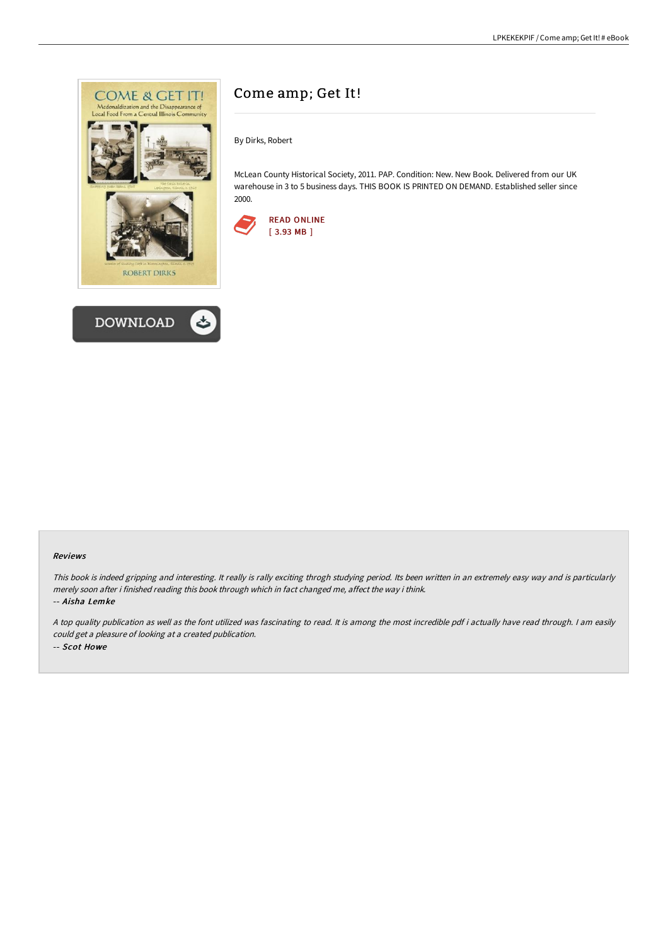



# Come amp; Get It!

By Dirks, Robert

McLean County Historical Society, 2011. PAP. Condition: New. New Book. Delivered from our UK warehouse in 3 to 5 business days. THIS BOOK IS PRINTED ON DEMAND. Established seller since 2000.



#### Reviews

This book is indeed gripping and interesting. It really is rally exciting throgh studying period. Its been written in an extremely easy way and is particularly merely soon after i finished reading this book through which in fact changed me, affect the way i think. -- Aisha Lemke

<sup>A</sup> top quality publication as well as the font utilized was fascinating to read. It is among the most incredible pdf i actually have read through. <sup>I</sup> am easily could get <sup>a</sup> pleasure of looking at <sup>a</sup> created publication. -- Scot Howe